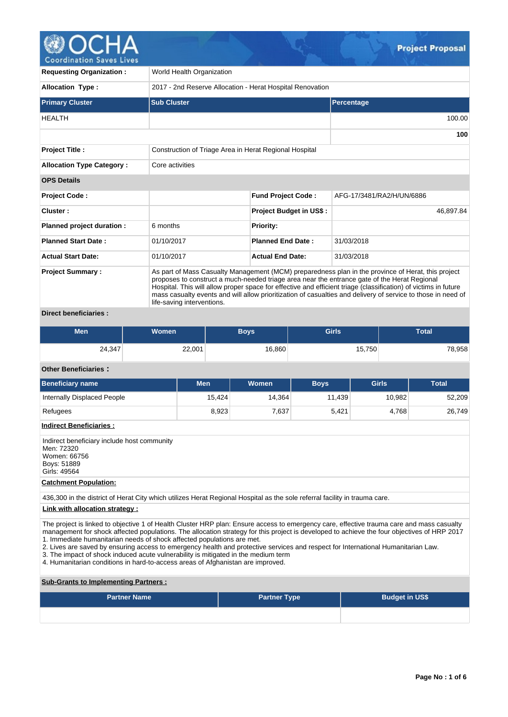

| <b>Requesting Organization:</b>  | World Health Organization                                                                                                                                                                                                                                                                                                                                                                                                                                           |                                |                           |  |  |  |  |  |
|----------------------------------|---------------------------------------------------------------------------------------------------------------------------------------------------------------------------------------------------------------------------------------------------------------------------------------------------------------------------------------------------------------------------------------------------------------------------------------------------------------------|--------------------------------|---------------------------|--|--|--|--|--|
| <b>Allocation Type:</b>          | 2017 - 2nd Reserve Allocation - Herat Hospital Renovation                                                                                                                                                                                                                                                                                                                                                                                                           |                                |                           |  |  |  |  |  |
| <b>Primary Cluster</b>           | <b>Sub Cluster</b>                                                                                                                                                                                                                                                                                                                                                                                                                                                  |                                | Percentage                |  |  |  |  |  |
| <b>HEALTH</b>                    |                                                                                                                                                                                                                                                                                                                                                                                                                                                                     |                                | 100.00                    |  |  |  |  |  |
|                                  |                                                                                                                                                                                                                                                                                                                                                                                                                                                                     |                                | 100                       |  |  |  |  |  |
| <b>Project Title:</b>            | Construction of Triage Area in Herat Regional Hospital                                                                                                                                                                                                                                                                                                                                                                                                              |                                |                           |  |  |  |  |  |
| <b>Allocation Type Category:</b> | Core activities                                                                                                                                                                                                                                                                                                                                                                                                                                                     |                                |                           |  |  |  |  |  |
| <b>OPS Details</b>               |                                                                                                                                                                                                                                                                                                                                                                                                                                                                     |                                |                           |  |  |  |  |  |
| <b>Project Code:</b>             |                                                                                                                                                                                                                                                                                                                                                                                                                                                                     | <b>Fund Project Code:</b>      | AFG-17/3481/RA2/H/UN/6886 |  |  |  |  |  |
| Cluster:                         |                                                                                                                                                                                                                                                                                                                                                                                                                                                                     | <b>Project Budget in US\$:</b> | 46,897.84                 |  |  |  |  |  |
| Planned project duration :       | 6 months                                                                                                                                                                                                                                                                                                                                                                                                                                                            | <b>Priority:</b>               |                           |  |  |  |  |  |
| <b>Planned Start Date:</b>       | 01/10/2017                                                                                                                                                                                                                                                                                                                                                                                                                                                          | <b>Planned End Date:</b>       | 31/03/2018                |  |  |  |  |  |
| <b>Actual Start Date:</b>        | 01/10/2017                                                                                                                                                                                                                                                                                                                                                                                                                                                          | <b>Actual End Date:</b>        | 31/03/2018                |  |  |  |  |  |
| <b>Project Summary:</b><br>.     | As part of Mass Casualty Management (MCM) preparedness plan in the province of Herat, this project<br>proposes to construct a much-needed triage area near the entrance gate of the Herat Regional<br>Hospital. This will allow proper space for effective and efficient triage (classification) of victims in future<br>mass casualty events and will allow prioritization of casualties and delivery of service to those in need of<br>life-saving interventions. |                                |                           |  |  |  |  |  |

## **Direct beneficiaries :**

| <b>Men</b> | <b>Women</b> | Boys   | <b>Girls</b> | Total  |  |  |
|------------|--------------|--------|--------------|--------|--|--|
| 24,347     | 22,001       | 16,860 | 15,750       | 78,958 |  |  |

# **Other Beneficiaries :**

| <b>Beneficiary name</b>     | Men    | Women  | <b>Boys</b> | <b>Girls</b> | Total  |
|-----------------------------|--------|--------|-------------|--------------|--------|
| Internally Displaced People | 15.424 | 14.364 | 11.439      | 10,982       | 52,209 |
| Refugees                    | 8,923  | 7,637  | 5,421       | 4.768        | 26,749 |

## **Indirect Beneficiaries :**

Indirect beneficiary include host community Men: 72320 Women: 66756 Boys: 51889 Girls: 49564

# **Catchment Population:**

436,300 in the district of Herat City which utilizes Herat Regional Hospital as the sole referral facility in trauma care.

## **Link with allocation strategy :**

The project is linked to objective 1 of Health Cluster HRP plan: Ensure access to emergency care, effective trauma care and mass casualty management for shock affected populations. The allocation strategy for this project is developed to achieve the four objectives of HRP 2017 1. Immediate humanitarian needs of shock affected populations are met.

2. Lives are saved by ensuring access to emergency health and protective services and respect for International Humanitarian Law.

- 3. The impact of shock induced acute vulnerability is mitigated in the medium term
- 4. Humanitarian conditions in hard-to-access areas of Afghanistan are improved.

**Sub-Grants to Implementing Partners :**

| <b>Partner Name</b> | <b>Partner Type</b> | <b>Budget in US\$</b> |  |  |  |  |
|---------------------|---------------------|-----------------------|--|--|--|--|
|                     |                     |                       |  |  |  |  |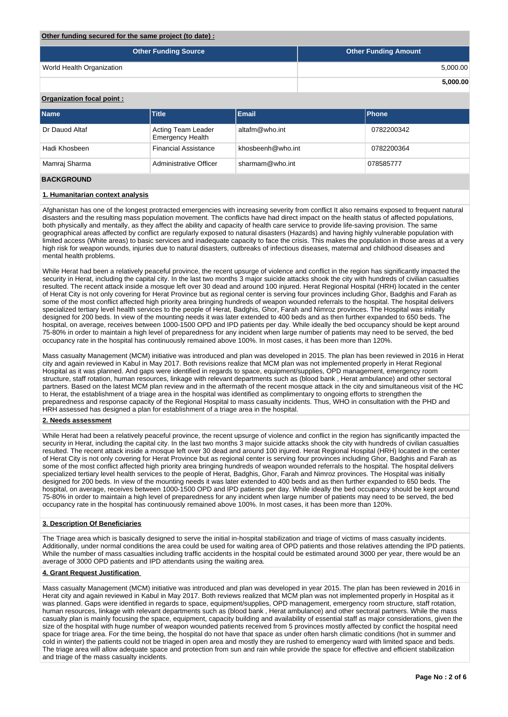#### **Other funding secured for the same project (to date) :**

| <b>Other Funding Source</b> | <b>Other Funding Amount</b> |
|-----------------------------|-----------------------------|
| World Health Organization   | 5,000.00                    |
|                             | 5,000.00                    |

# **Organization focal point :**

| <b>Name</b>       | <b>Title</b>                                  | Email             | Phone      |
|-------------------|-----------------------------------------------|-------------------|------------|
| Dr Dauod Altaf    | Acting Team Leader<br><b>Emergency Health</b> | altafm@who.int    | 0782200342 |
| Hadi Khosbeen     | <b>Financial Assistance</b>                   | khosbeenh@who.int | 0782200364 |
| Mamraj Sharma     | Administrative Officer                        | sharmam@who.int   | 078585777  |
| <b>BACKGROUND</b> |                                               |                   |            |

### **1. Humanitarian context analysis**

Afghanistan has one of the longest protracted emergencies with increasing severity from conflict It also remains exposed to frequent natural disasters and the resulting mass population movement. The conflicts have had direct impact on the health status of affected populations, both physically and mentally, as they affect the ability and capacity of health care service to provide life-saving provision. The same geographical areas affected by conflict are regularly exposed to natural disasters (Hazards) and having highly vulnerable population with limited access (White areas) to basic services and inadequate capacity to face the crisis. This makes the population in those areas at a very high risk for weapon wounds, injuries due to natural disasters, outbreaks of infectious diseases, maternal and childhood diseases and mental health problems.

While Herat had been a relatively peaceful province, the recent upsurge of violence and conflict in the region has significantly impacted the security in Herat, including the capital city. In the last two months 3 major suicide attacks shook the city with hundreds of civilian casualties resulted. The recent attack inside a mosque left over 30 dead and around 100 injured. Herat Regional Hospital (HRH) located in the center of Herat City is not only covering for Herat Province but as regional center is serving four provinces including Ghor, Badghis and Farah as some of the most conflict affected high priority area bringing hundreds of weapon wounded referrals to the hospital. The hospital delivers specialized tertiary level health services to the people of Herat, Badghis, Ghor, Farah and Nimroz provinces. The Hospital was initially designed for 200 beds. In view of the mounting needs it was later extended to 400 beds and as then further expanded to 650 beds. The hospital, on average, receives between 1000-1500 OPD and IPD patients per day. While ideally the bed occupancy should be kept around 75-80% in order to maintain a high level of preparedness for any incident when large number of patients may need to be served, the bed occupancy rate in the hospital has continuously remained above 100%. In most cases, it has been more than 120%.

Mass casualty Management (MCM) initiative was introduced and plan was developed in 2015. The plan has been reviewed in 2016 in Herat city and again reviewed in Kabul in May 2017. Both revisions realize that MCM plan was not implemented properly in Herat Regional Hospital as it was planned. And gaps were identified in regards to space, equipment/supplies, OPD management, emergency room structure, staff rotation, human resources, linkage with relevant departments such as (blood bank , Herat ambulance) and other sectoral partners. Based on the latest MCM plan review and in the aftermath of the recent mosque attack in the city and simultaneous visit of the HC to Herat, the establishment of a triage area in the hospital was identified as complimentary to ongoing efforts to strengthen the preparedness and response capacity of the Regional Hospital to mass casualty incidents. Thus, WHO in consultation with the PHD and HRH assessed has designed a plan for establishment of a triage area in the hospital.

#### **2. Needs assessment**

While Herat had been a relatively peaceful province, the recent upsurge of violence and conflict in the region has significantly impacted the security in Herat, including the capital city. In the last two months 3 major suicide attacks shook the city with hundreds of civilian casualties resulted. The recent attack inside a mosque left over 30 dead and around 100 injured. Herat Regional Hospital (HRH) located in the center of Herat City is not only covering for Herat Province but as regional center is serving four provinces including Ghor, Badghis and Farah as some of the most conflict affected high priority area bringing hundreds of weapon wounded referrals to the hospital. The hospital delivers specialized tertiary level health services to the people of Herat, Badghis, Ghor, Farah and Nimroz provinces. The Hospital was initially designed for 200 beds. In view of the mounting needs it was later extended to 400 beds and as then further expanded to 650 beds. The hospital, on average, receives between 1000-1500 OPD and IPD patients per day. While ideally the bed occupancy should be kept around 75-80% in order to maintain a high level of preparedness for any incident when large number of patients may need to be served, the bed occupancy rate in the hospital has continuously remained above 100%. In most cases, it has been more than 120%.

#### **3. Description Of Beneficiaries**

The Triage area which is basically designed to serve the initial in-hospital stabilization and triage of victims of mass casualty incidents. Additionally, under normal conditions the area could be used for waiting area of OPD patients and those relatives attending the IPD patients. While the number of mass casualties including traffic accidents in the hospital could be estimated around 3000 per year, there would be an average of 3000 OPD patients and IPD attendants using the waiting area.

#### **4. Grant Request Justification**

Mass casualty Management (MCM) initiative was introduced and plan was developed in year 2015. The plan has been reviewed in 2016 in Herat city and again reviewed in Kabul in May 2017. Both reviews realized that MCM plan was not implemented properly in Hospital as it was planned. Gaps were identified in regards to space, equipment/supplies, OPD management, emergency room structure, staff rotation, human resources, linkage with relevant departments such as (blood bank , Herat ambulance) and other sectoral partners. While the mass casualty plan is mainly focusing the space, equipment, capacity building and availability of essential staff as major considerations, given the size of the hospital with huge number of weapon wounded patients received from 5 provinces mostly affected by conflict the hospital need space for triage area. For the time being, the hospital do not have that space as under often harsh climatic conditions (hot in summer and cold in winter) the patients could not be triaged in open area and mostly they are rushed to emergency ward with limited space and beds. The triage area will allow adequate space and protection from sun and rain while provide the space for effective and efficient stabilization and triage of the mass casualty incidents.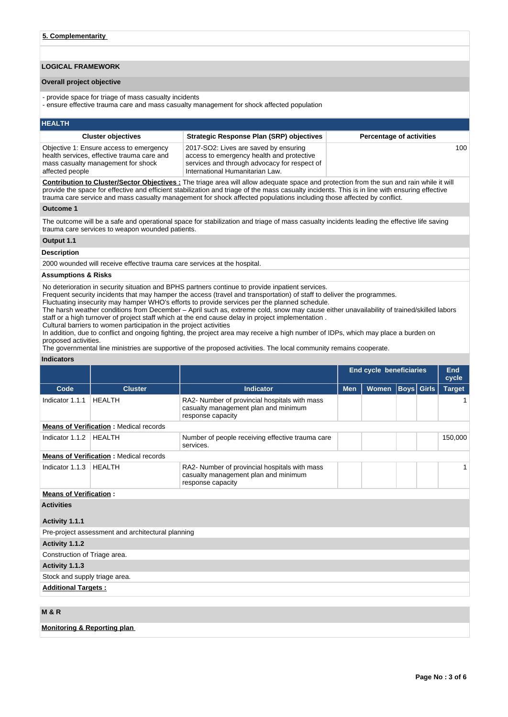# **LOGICAL FRAMEWORK**

#### **Overall project objective**

- provide space for triage of mass casualty incidents

- ensure effective trauma care and mass casualty management for shock affected population

#### **HEALTH**

| <b>Cluster objectives</b>                                                                                                                      | <b>Strategic Response Plan (SRP) objectives</b>                                                                                                                       | <b>Percentage of activities</b> |
|------------------------------------------------------------------------------------------------------------------------------------------------|-----------------------------------------------------------------------------------------------------------------------------------------------------------------------|---------------------------------|
| Objective 1: Ensure access to emergency<br>health services, effective trauma care and<br>mass casualty management for shock<br>affected people | 2017-SO2: Lives are saved by ensuring<br>access to emergency health and protective<br>services and through advocacy for respect of<br>International Humanitarian Law. | 100                             |

**Contribution to Cluster/Sector Objectives :** The triage area will allow adequate space and protection from the sun and rain while it will provide the space for effective and efficient stabilization and triage of the mass casualty incidents. This is in line with ensuring effective trauma care service and mass casualty management for shock affected populations including those affected by conflict.

#### **Outcome 1**

The outcome will be a safe and operational space for stabilization and triage of mass casualty incidents leading the effective life saving trauma care services to weapon wounded patients.

# **Output 1.1 Description**

2000 wounded will receive effective trauma care services at the hospital.

### **Assumptions & Risks**

No deterioration in security situation and BPHS partners continue to provide inpatient services.

Frequent security incidents that may hamper the access (travel and transportation) of staff to deliver the programmes.

Fluctuating insecurity may hamper WHO's efforts to provide services per the planned schedule.

The harsh weather conditions from December – April such as, extreme cold, snow may cause either unavailability of trained/skilled labors staff or a high turnover of project staff which at the end cause delay in project implementation .

Cultural barriers to women participation in the project activities

In addition, due to conflict and ongoing fighting, the project area may receive a high number of IDPs, which may place a burden on proposed activities.

The governmental line ministries are supportive of the proposed activities. The local community remains cooperate.

#### **Indicators**

|                               |                                                   |                                                                                                            | End cycle beneficiaries |              |                   |  | End<br>cycle  |
|-------------------------------|---------------------------------------------------|------------------------------------------------------------------------------------------------------------|-------------------------|--------------|-------------------|--|---------------|
| Code                          | <b>Cluster</b>                                    | <b>Indicator</b>                                                                                           | <b>Men</b>              | <b>Women</b> | <b>Boys</b> Girls |  | <b>Target</b> |
| Indicator 1.1.1               | <b>HEALTH</b>                                     | RA2- Number of provincial hospitals with mass<br>casualty management plan and minimum<br>response capacity |                         |              |                   |  | 1             |
|                               | <b>Means of Verification:</b> Medical records     |                                                                                                            |                         |              |                   |  |               |
| Indicator 1.1.2               | <b>HEALTH</b>                                     | Number of people receiving effective trauma care<br>services.                                              |                         |              |                   |  | 150,000       |
|                               | <b>Means of Verification: Medical records</b>     |                                                                                                            |                         |              |                   |  |               |
| Indicator 1.1.3               | <b>HEALTH</b>                                     | RA2- Number of provincial hospitals with mass<br>casualty management plan and minimum<br>response capacity |                         |              |                   |  |               |
| <b>Means of Verification:</b> |                                                   |                                                                                                            |                         |              |                   |  |               |
| <b>Activities</b>             |                                                   |                                                                                                            |                         |              |                   |  |               |
| Activity 1.1.1                |                                                   |                                                                                                            |                         |              |                   |  |               |
|                               | Pre-project assessment and architectural planning |                                                                                                            |                         |              |                   |  |               |
| Activity 1.1.2                |                                                   |                                                                                                            |                         |              |                   |  |               |
| Construction of Triage area.  |                                                   |                                                                                                            |                         |              |                   |  |               |
| Activity 1.1.3                |                                                   |                                                                                                            |                         |              |                   |  |               |
| Stock and supply triage area. |                                                   |                                                                                                            |                         |              |                   |  |               |
| <b>Additional Targets:</b>    |                                                   |                                                                                                            |                         |              |                   |  |               |
|                               |                                                   |                                                                                                            |                         |              |                   |  |               |
| <b>M&amp;R</b>                |                                                   |                                                                                                            |                         |              |                   |  |               |

**Monitoring & Reporting plan**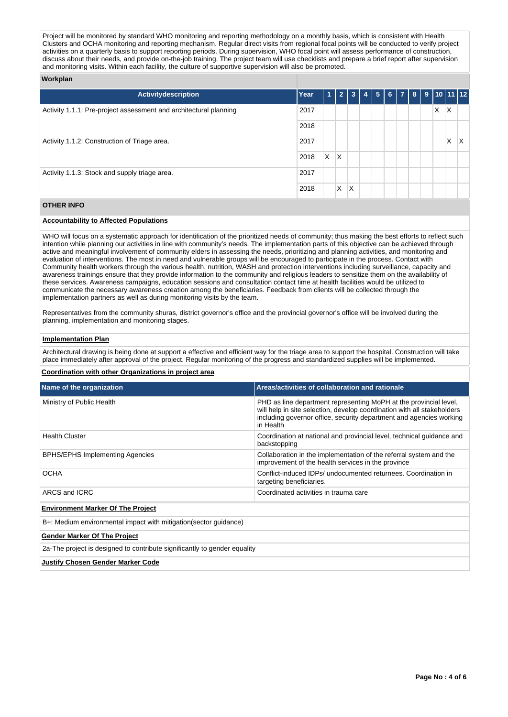Project will be monitored by standard WHO monitoring and reporting methodology on a monthly basis, which is consistent with Health Clusters and OCHA monitoring and reporting mechanism. Regular direct visits from regional focal points will be conducted to verify project activities on a quarterly basis to support reporting periods. During supervision, WHO focal point will assess performance of construction, discuss about their needs, and provide on-the-job training. The project team will use checklists and prepare a brief report after supervision and monitoring visits. Within each facility, the culture of supportive supervision will also be promoted.

#### **Workplan**

| <b>Activitydescription</b>                                        | Year | 1 | $\overline{2}$ | $\overline{\mathbf{3}}$ | $\overline{4}$ |  |  |  |  |   | $\vert 5 \vert 6 \vert 7 \vert 8 \vert 9 \vert 10 \vert 11 \vert 12 \vert$ |   |
|-------------------------------------------------------------------|------|---|----------------|-------------------------|----------------|--|--|--|--|---|----------------------------------------------------------------------------|---|
| Activity 1.1.1: Pre-project assessment and architectural planning | 2017 |   |                |                         |                |  |  |  |  | X | X                                                                          |   |
|                                                                   | 2018 |   |                |                         |                |  |  |  |  |   |                                                                            |   |
| Activity 1.1.2: Construction of Triage area.                      | 2017 |   |                |                         |                |  |  |  |  |   | X                                                                          | X |
|                                                                   | 2018 | X | $\mathsf{X}$   |                         |                |  |  |  |  |   |                                                                            |   |
| Activity 1.1.3: Stock and supply triage area.                     |      |   |                |                         |                |  |  |  |  |   |                                                                            |   |
|                                                                   | 2018 |   | X              | X                       |                |  |  |  |  |   |                                                                            |   |

## **OTHER INFO**

#### **Accountability to Affected Populations**

WHO will focus on a systematic approach for identification of the prioritized needs of community; thus making the best efforts to reflect such intention while planning our activities in line with community's needs. The implementation parts of this objective can be achieved through active and meaningful involvement of community elders in assessing the needs, prioritizing and planning activities, and monitoring and evaluation of interventions. The most in need and vulnerable groups will be encouraged to participate in the process. Contact with Community health workers through the various health, nutrition, WASH and protection interventions including surveillance, capacity and awareness trainings ensure that they provide information to the community and religious leaders to sensitize them on the availability of these services. Awareness campaigns, education sessions and consultation contact time at health facilities would be utilized to communicate the necessary awareness creation among the beneficiaries. Feedback from clients will be collected through the implementation partners as well as during monitoring visits by the team.

Representatives from the community shuras, district governor's office and the provincial governor's office will be involved during the planning, implementation and monitoring stages.

## **Implementation Plan**

Architectural drawing is being done at support a effective and efficient way for the triage area to support the hospital. Construction will take place immediately after approval of the project. Regular monitoring of the progress and standardized supplies will be implemented.

#### **Coordination with other Organizations in project area**

| Name of the organization                                                  | Areas/activities of collaboration and rationale                                                                                                                                                                                  |  |  |  |  |  |
|---------------------------------------------------------------------------|----------------------------------------------------------------------------------------------------------------------------------------------------------------------------------------------------------------------------------|--|--|--|--|--|
| Ministry of Public Health                                                 | PHD as line department representing MoPH at the provincial level,<br>will help in site selection, develop coordination with all stakeholders<br>including governor office, security department and agencies working<br>in Health |  |  |  |  |  |
| <b>Health Cluster</b>                                                     | Coordination at national and provincial level, technical quidance and<br>backstopping                                                                                                                                            |  |  |  |  |  |
| <b>BPHS/EPHS Implementing Agencies</b>                                    | Collaboration in the implementation of the referral system and the<br>improvement of the health services in the province                                                                                                         |  |  |  |  |  |
| <b>OCHA</b>                                                               | Conflict-induced IDPs/ undocumented returnees. Coordination in<br>targeting beneficiaries.                                                                                                                                       |  |  |  |  |  |
| ARCS and ICRC                                                             | Coordinated activities in trauma care                                                                                                                                                                                            |  |  |  |  |  |
| <b>Environment Marker Of The Project</b>                                  |                                                                                                                                                                                                                                  |  |  |  |  |  |
| B+: Medium environmental impact with mitigation (sector guidance)         |                                                                                                                                                                                                                                  |  |  |  |  |  |
| <b>Gender Marker Of The Project</b>                                       |                                                                                                                                                                                                                                  |  |  |  |  |  |
| 2a-The project is designed to contribute significantly to gender equality |                                                                                                                                                                                                                                  |  |  |  |  |  |
| <b>Justify Chosen Gender Marker Code</b>                                  |                                                                                                                                                                                                                                  |  |  |  |  |  |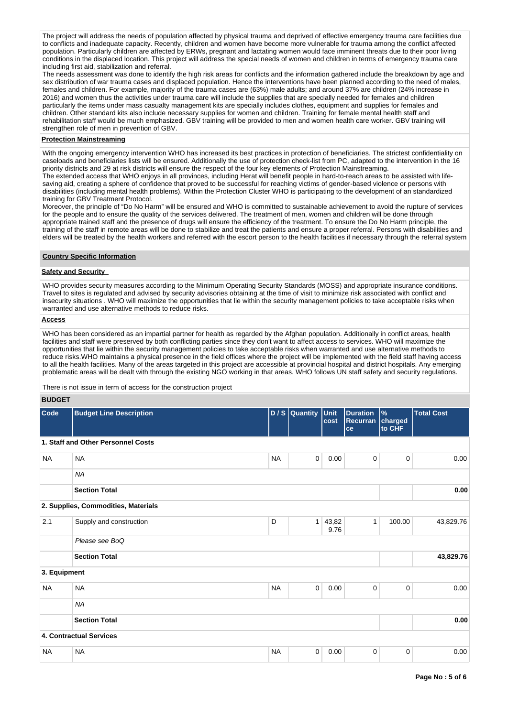The project will address the needs of population affected by physical trauma and deprived of effective emergency trauma care facilities due to conflicts and inadequate capacity. Recently, children and women have become more vulnerable for trauma among the conflict affected population. Particularly children are affected by ERWs, pregnant and lactating women would face imminent threats due to their poor living conditions in the displaced location. This project will address the special needs of women and children in terms of emergency trauma care including first aid, stabilization and referral.

The needs assessment was done to identify the high risk areas for conflicts and the information gathered include the breakdown by age and sex distribution of war trauma cases and displaced population. Hence the interventions have been planned according to the need of males, females and children. For example, majority of the trauma cases are (63%) male adults; and around 37% are children (24% increase in 2016) and women thus the activities under trauma care will include the supplies that are specially needed for females and children particularly the items under mass casualty management kits are specially includes clothes, equipment and supplies for females and children. Other standard kits also include necessary supplies for women and children. Training for female mental health staff and rehabilitation staff would be much emphasized. GBV training will be provided to men and women health care worker. GBV training will strengthen role of men in prevention of GBV.

#### **Protection Mainstreaming**

With the ongoing emergency intervention WHO has increased its best practices in protection of beneficiaries. The strictest confidentiality on caseloads and beneficiaries lists will be ensured. Additionally the use of protection check-list from PC, adapted to the intervention in the 16 priority districts and 29 at risk districts will ensure the respect of the four key elements of Protection Mainstreaming.

The extended access that WHO enjoys in all provinces, including Herat will benefit people in hard-to-reach areas to be assisted with lifesaving aid, creating a sphere of confidence that proved to be successful for reaching victims of gender-based violence or persons with disabilities (including mental health problems). Within the Protection Cluster WHO is participating to the development of an standardized training for GBV Treatment Protocol.

Moreover, the principle of "Do No Harm" will be ensured and WHO is committed to sustainable achievement to avoid the rupture of services for the people and to ensure the quality of the services delivered. The treatment of men, women and children will be done through appropriate trained staff and the presence of drugs will ensure the efficiency of the treatment. To ensure the Do No Harm principle, the training of the staff in remote areas will be done to stabilize and treat the patients and ensure a proper referral. Persons with disabilities and elders will be treated by the health workers and referred with the escort person to the health facilities if necessary through the referral system

#### **Country Specific Information**

#### **Safety and Security**

WHO provides security measures according to the Minimum Operating Security Standards (MOSS) and appropriate insurance conditions. Travel to sites is regulated and advised by security advisories obtaining at the time of visit to minimize risk associated with conflict and insecurity situations . WHO will maximize the opportunities that lie within the security management policies to take acceptable risks when warranted and use alternative methods to reduce risks.

## **Access**

WHO has been considered as an impartial partner for health as regarded by the Afghan population. Additionally in conflict areas, health facilities and staff were preserved by both conflicting parties since they don't want to affect access to services. WHO will maximize the opportunities that lie within the security management policies to take acceptable risks when warranted and use alternative methods to reduce risks.WHO maintains a physical presence in the field offices where the project will be implemented with the field staff having access to all the health facilities. Many of the areas targeted in this project are accessible at provincial hospital and district hospitals. Any emerging problematic areas will be dealt with through the existing NGO working in that areas. WHO follows UN staff safety and security regulations.

There is not issue in term of access for the construction project

#### **BUDGET**

| Code         | <b>Budget Line Description</b>      |           | D / S Quantity Unit | cost          | <b>Duration</b><br>Recurran<br>ce | $\frac{9}{6}$<br>charged<br>to CHF | <b>Total Cost</b> |
|--------------|-------------------------------------|-----------|---------------------|---------------|-----------------------------------|------------------------------------|-------------------|
|              | 1. Staff and Other Personnel Costs  |           |                     |               |                                   |                                    |                   |
| <b>NA</b>    | <b>NA</b>                           | <b>NA</b> | $\overline{0}$      | 0.00          | $\mathbf 0$                       | $\mathbf 0$                        | 0.00              |
|              | <b>NA</b>                           |           |                     |               |                                   |                                    |                   |
|              | <b>Section Total</b>                |           |                     |               |                                   |                                    | 0.00              |
|              | 2. Supplies, Commodities, Materials |           |                     |               |                                   |                                    |                   |
| 2.1          | Supply and construction             | D         | 1                   | 43,82<br>9.76 | $\mathbf{1}$                      | 100.00                             | 43,829.76         |
|              | Please see BoQ                      |           |                     |               |                                   |                                    |                   |
|              | <b>Section Total</b>                |           |                     |               |                                   |                                    | 43,829.76         |
| 3. Equipment |                                     |           |                     |               |                                   |                                    |                   |
| <b>NA</b>    | <b>NA</b>                           | <b>NA</b> | $\overline{0}$      | 0.00          | $\mathbf 0$                       | $\mathbf 0$                        | 0.00              |
|              | <b>NA</b>                           |           |                     |               |                                   |                                    |                   |
|              | <b>Section Total</b>                |           |                     |               |                                   |                                    | 0.00              |
|              | 4. Contractual Services             |           |                     |               |                                   |                                    |                   |
| <b>NA</b>    | <b>NA</b>                           | <b>NA</b> | $\mathbf 0$         | 0.00          | 0                                 | 0                                  | 0.00              |